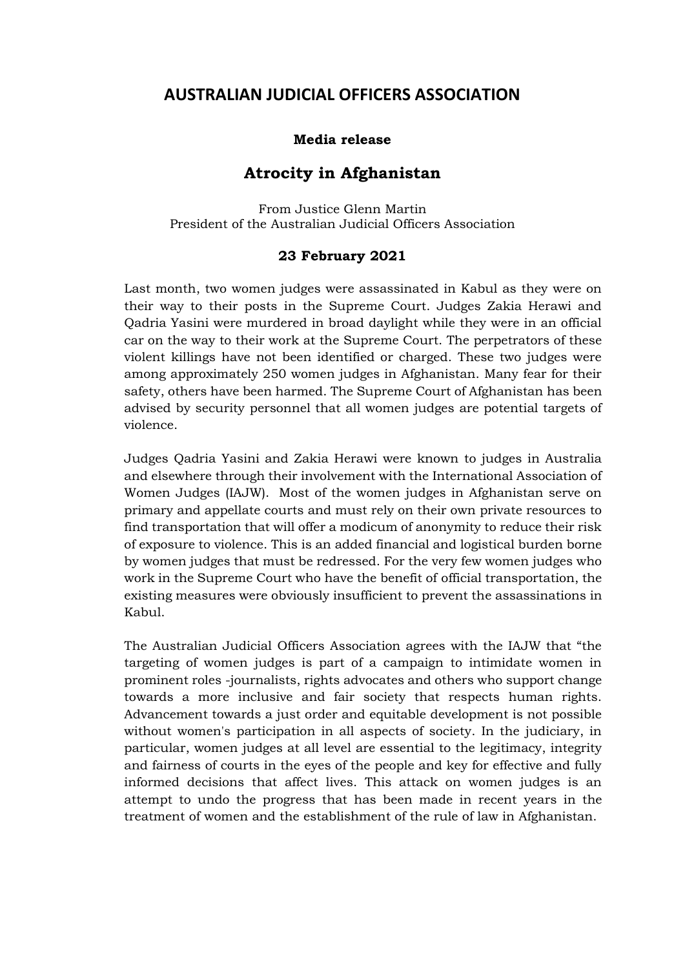## **AUSTRALIAN JUDICIAL OFFICERS ASSOCIATION**

## **Media release**

## **Atrocity in Afghanistan**

From Justice Glenn Martin President of the Australian Judicial Officers Association

## **23 February 2021**

Last month, two women judges were assassinated in Kabul as they were on their way to their posts in the Supreme Court. Judges Zakia Herawi and Qadria Yasini were murdered in broad daylight while they were in an official car on the way to their work at the Supreme Court. The perpetrators of these violent killings have not been identified or charged. These two judges were among approximately 250 women judges in Afghanistan. Many fear for their safety, others have been harmed. The Supreme Court of Afghanistan has been advised by security personnel that all women judges are potential targets of violence.

Judges Qadria Yasini and Zakia Herawi were known to judges in Australia and elsewhere through their involvement with the International Association of Women Judges (IAJW). Most of the women judges in Afghanistan serve on primary and appellate courts and must rely on their own private resources to find transportation that will offer a modicum of anonymity to reduce their risk of exposure to violence. This is an added financial and logistical burden borne by women judges that must be redressed. For the very few women judges who work in the Supreme Court who have the benefit of official transportation, the existing measures were obviously insufficient to prevent the assassinations in Kabul.

The Australian Judicial Officers Association agrees with the IAJW that "the targeting of women judges is part of a campaign to intimidate women in prominent roles -journalists, rights advocates and others who support change towards a more inclusive and fair society that respects human rights. Advancement towards a just order and equitable development is not possible without women's participation in all aspects of society. In the judiciary, in particular, women judges at all level are essential to the legitimacy, integrity and fairness of courts in the eyes of the people and key for effective and fully informed decisions that affect lives. This attack on women judges is an attempt to undo the progress that has been made in recent years in the treatment of women and the establishment of the rule of law in Afghanistan.